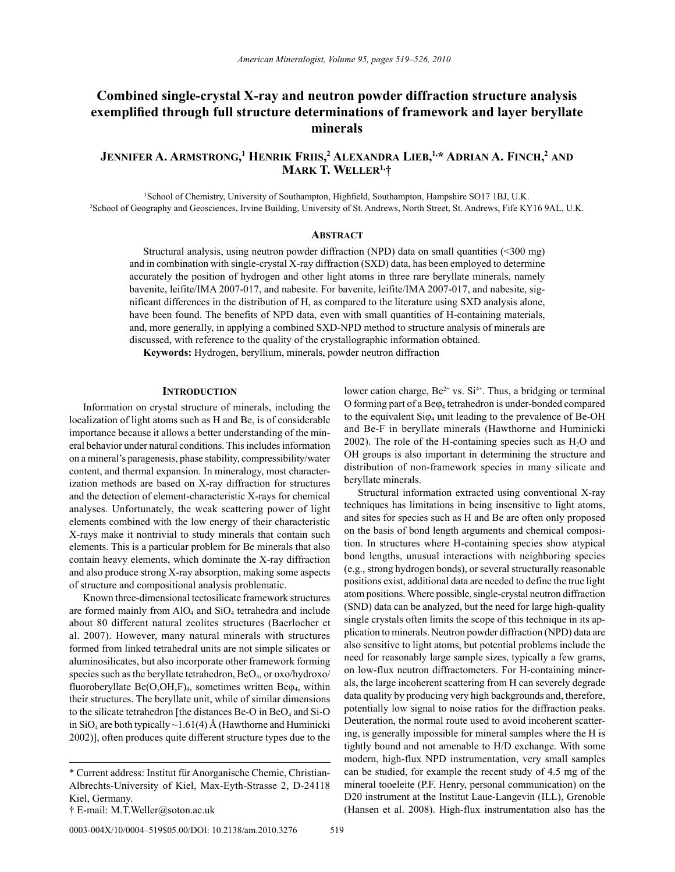# **Combined single-crystal X-ray and neutron powder diffraction structure analysis exemplified through full structure determinations of framework and layer beryllate minerals**

## <code>Jennifer A. Armstrong,<sup>1</sup> Henrik Friis,<sup>2</sup> Alexandra Lieb,<sup>1,\*</sup> Adrian A. Finch,<sup>2</sup> and</code> **mArk t. Weller1,†**

1 School of Chemistry, University of Southampton, Highfield, Southampton, Hampshire SO17 1BJ, U.K. 2 School of Geography and Geosciences, Irvine Building, University of St. Andrews, North Street, St. Andrews, Fife KY16 9AL, U.K.

## **ABSTRACT**

Structural analysis, using neutron powder diffraction (NPD) data on small quantities (<300 mg) and in combination with single-crystal X-ray diffraction (SXD) data, has been employed to determine accurately the position of hydrogen and other light atoms in three rare beryllate minerals, namely bavenite, leifite/IMA 2007-017, and nabesite. For bavenite, leifite/IMA 2007-017, and nabesite, significant differences in the distribution of H, as compared to the literature using SXD analysis alone, have been found. The benefits of NPD data, even with small quantities of H-containing materials, and, more generally, in applying a combined SXD-NPD method to structure analysis of minerals are discussed, with reference to the quality of the crystallographic information obtained.

**Keywords:** Hydrogen, beryllium, minerals, powder neutron diffraction

### **INTRODUCTION**

Information on crystal structure of minerals, including the localization of light atoms such as H and Be, is of considerable importance because it allows a better understanding of the mineral behavior under natural conditions. This includes information on a mineral's paragenesis, phase stability, compressibility/water content, and thermal expansion. In mineralogy, most characterization methods are based on X-ray diffraction for structures and the detection of element-characteristic X-rays for chemical analyses. Unfortunately, the weak scattering power of light elements combined with the low energy of their characteristic X-rays make it nontrivial to study minerals that contain such elements. This is a particular problem for Be minerals that also contain heavy elements, which dominate the X-ray diffraction and also produce strong X-ray absorption, making some aspects of structure and compositional analysis problematic.

Known three-dimensional tectosilicate framework structures are formed mainly from  $AIO<sub>4</sub>$  and  $SiO<sub>4</sub>$  tetrahedra and include about 80 different natural zeolites structures (Baerlocher et al. 2007). However, many natural minerals with structures formed from linked tetrahedral units are not simple silicates or aluminosilicates, but also incorporate other framework forming species such as the beryllate tetrahedron,  $BeO<sub>4</sub>$ , or  $oxo/hvdroxo/$ fluoroberyllate  $Be(O, OH, F)_{4}$ , sometimes written  $Be\varphi_{4}$ , within their structures. The beryllate unit, while of similar dimensions to the silicate tetrahedron [the distances Be-O in  $BeO_4$  and Si-O in  $SiO_4$  are both typically ~1.61(4) Å (Hawthorne and Huminicki 2002)], often produces quite different structure types due to the

lower cation charge, Be<sup>2+</sup> vs. Si<sup>4+</sup>. Thus, a bridging or terminal O forming part of a Beϕ4 tetrahedron is under-bonded compared to the equivalent  $Si\varphi_4$  unit leading to the prevalence of Be-OH and Be-F in beryllate minerals (Hawthorne and Huminicki  $2002$ ). The role of the H-containing species such as  $H<sub>2</sub>O$  and OH groups is also important in determining the structure and distribution of non-framework species in many silicate and beryllate minerals.

Structural information extracted using conventional X-ray techniques has limitations in being insensitive to light atoms, and sites for species such as H and Be are often only proposed on the basis of bond length arguments and chemical composition. In structures where H-containing species show atypical bond lengths, unusual interactions with neighboring species (e.g., strong hydrogen bonds), or several structurally reasonable positions exist, additional data are needed to define the true light atom positions. Where possible, single-crystal neutron diffraction (SND) data can be analyzed, but the need for large high-quality single crystals often limits the scope of this technique in its application to minerals. Neutron powder diffraction (NPD) data are also sensitive to light atoms, but potential problems include the need for reasonably large sample sizes, typically a few grams, on low-flux neutron diffractometers. For H-containing minerals, the large incoherent scattering from H can severely degrade data quality by producing very high backgrounds and, therefore, potentially low signal to noise ratios for the diffraction peaks. Deuteration, the normal route used to avoid incoherent scattering, is generally impossible for mineral samples where the H is tightly bound and not amenable to H/D exchange. With some modern, high-flux NPD instrumentation, very small samples can be studied, for example the recent study of 4.5 mg of the mineral tooeleite (P.F. Henry, personal communication) on the D20 instrument at the Institut Laue-Langevin (ILL), Grenoble (Hansen et al. 2008). High-flux instrumentation also has the

<sup>\*</sup> Current address: Institut für Anorganische Chemie, Christian-Albrechts-University of Kiel, Max-Eyth-Strasse 2, D-24118 Kiel, Germany.

**<sup>†</sup>** E-mail: M.T.Weller@soton.ac.uk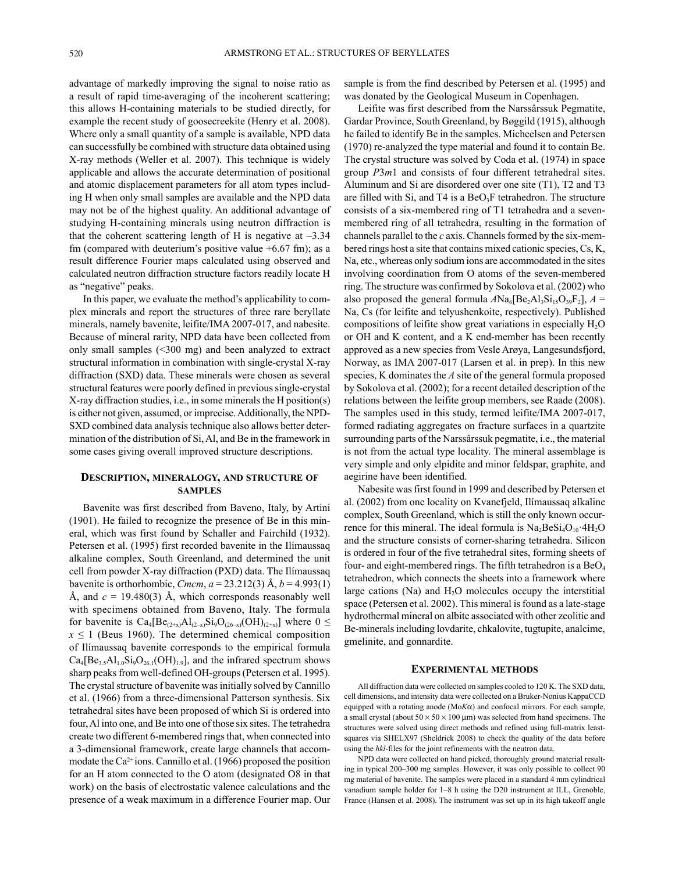advantage of markedly improving the signal to noise ratio as a result of rapid time-averaging of the incoherent scattering; this allows H-containing materials to be studied directly, for example the recent study of goosecreekite (Henry et al. 2008). Where only a small quantity of a sample is available, NPD data can successfully be combined with structure data obtained using X-ray methods (Weller et al. 2007). This technique is widely applicable and allows the accurate determination of positional and atomic displacement parameters for all atom types including H when only small samples are available and the NPD data may not be of the highest quality. An additional advantage of studying H-containing minerals using neutron diffraction is that the coherent scattering length of H is negative at  $-3.34$ fm (compared with deuterium's positive value +6.67 fm); as a result difference Fourier maps calculated using observed and calculated neutron diffraction structure factors readily locate H as "negative" peaks.

In this paper, we evaluate the method's applicability to complex minerals and report the structures of three rare beryllate minerals, namely bavenite, leifite/IMA 2007-017, and nabesite. Because of mineral rarity, NPD data have been collected from only small samples (<300 mg) and been analyzed to extract structural information in combination with single-crystal X-ray diffraction (SXD) data. These minerals were chosen as several structural features were poorly defined in previous single-crystal X-ray diffraction studies, i.e., in some minerals the H position(s) is either not given, assumed, or imprecise. Additionally, the NPD-SXD combined data analysis technique also allows better determination of the distribution of Si, Al, and Be in the framework in some cases giving overall improved structure descriptions.

## **description, minerAlogy, And structure of SAMPLES**

Bavenite was first described from Baveno, Italy, by Artini (1901). He failed to recognize the presence of Be in this mineral, which was first found by Schaller and Fairchild (1932). Petersen et al. (1995) first recorded bavenite in the Ilímaussaq alkaline complex, South Greenland, and determined the unit cell from powder X-ray diffraction (PXD) data. The Ilímaussaq bavenite is orthorhombic, *Cmcm*,  $a = 23.212(3)$  Å,  $b = 4.993(1)$ Å, and  $c = 19.480(3)$  Å, which corresponds reasonably well with specimens obtained from Baveno, Italy. The formula for bavenite is  $Ca_4[Be_{(2+x)}Al_{(2-x)}Si_9O_{(26-x)}(OH)_{(2+x)}]$  where  $0 \le$  $x \le 1$  (Beus 1960). The determined chemical composition of Ilímaussaq bavenite corresponds to the empirical formula  $Ca_4[Be_{3.5}Al_{1.0}Si_9O_{26.1}(OH)_{1.9}]$ , and the infrared spectrum shows sharp peaks from well-defined OH-groups (Petersen et al. 1995). The crystal structure of bavenite was initially solved by Cannillo et al. (1966) from a three-dimensional Patterson synthesis. Six tetrahedral sites have been proposed of which Si is ordered into four, Al into one, and Be into one of those six sites. The tetrahedra create two different 6-membered rings that, when connected into a 3-dimensional framework, create large channels that accommodate the  $Ca^{2+}$ ions. Cannillo et al. (1966) proposed the position for an H atom connected to the O atom (designated O8 in that work) on the basis of electrostatic valence calculations and the presence of a weak maximum in a difference Fourier map. Our sample is from the find described by Petersen et al. (1995) and was donated by the Geological Museum in Copenhagen.

Leifite was first described from the Narssârssuk Pegmatite, Gardar Province, South Greenland, by Bøggild (1915), although he failed to identify Be in the samples. Micheelsen and Petersen (1970) re-analyzed the type material and found it to contain Be. The crystal structure was solved by Coda et al. (1974) in space group *P*3*m*1 and consists of four different tetrahedral sites. Aluminum and Si are disordered over one site (T1), T2 and T3 are filled with Si, and T4 is a  $BeO<sub>3</sub>F$  tetrahedron. The structure consists of a six-membered ring of T1 tetrahedra and a sevenmembered ring of all tetrahedra, resulting in the formation of channels parallel to the *c* axis. Channels formed by the six-membered rings host a site that contains mixed cationic species, Cs, K, Na, etc., whereas only sodium ions are accommodated in the sites involving coordination from O atoms of the seven-membered ring. The structure was confirmed by Sokolova et al. (2002) who also proposed the general formula  $A\text{Na}_6[\text{Be}_2\text{Al}_3\text{Si}_1\text{SO}_3\text{O}_7]$ ,  $A =$ Na, Cs (for leifite and telyushenkoite, respectively). Published compositions of leifite show great variations in especially  $H_2O$ or OH and K content, and a K end-member has been recently approved as a new species from Vesle Arøya, Langesundsfjord, Norway, as IMA 2007-017 (Larsen et al. in prep). In this new species, K dominates the *A* site of the general formula proposed by Sokolova et al. (2002); for a recent detailed description of the relations between the leifite group members, see Raade (2008). The samples used in this study, termed leifite/IMA 2007-017, formed radiating aggregates on fracture surfaces in a quartzite surrounding parts of the Narssârssuk pegmatite, i.e., the material is not from the actual type locality. The mineral assemblage is very simple and only elpidite and minor feldspar, graphite, and aegirine have been identified.

Nabesite was first found in 1999 and described by Petersen et al. (2002) from one locality on Kvanefjeld, Ilímaussaq alkaline complex, South Greenland, which is still the only known occurrence for this mineral. The ideal formula is  $Na<sub>2</sub>BeSi<sub>4</sub>O<sub>10</sub>·4H<sub>2</sub>O$ and the structure consists of corner-sharing tetrahedra. Silicon is ordered in four of the five tetrahedral sites, forming sheets of four- and eight-membered rings. The fifth tetrahedron is a  $BeO<sub>4</sub>$ tetrahedron, which connects the sheets into a framework where large cations (Na) and  $H_2O$  molecules occupy the interstitial space (Petersen et al. 2002). This mineral is found as a late-stage hydrothermal mineral on albite associated with other zeolitic and Be-minerals including lovdarite, chkalovite, tugtupite, analcime, gmelinite, and gonnardite.

#### **experimentAl metHods**

All diffraction data were collected on samples cooled to 120 K. The SXD data, cell dimensions, and intensity data were collected on a Bruker-Nonius KappaCCD equipped with a rotating anode (Mo*K*α) and confocal mirrors. For each sample, a small crystal (about  $50 \times 50 \times 100 \,\mu$ m) was selected from hand specimens. The structures were solved using direct methods and refined using full-matrix leastsquares via SHELX97 (Sheldrick 2008) to check the quality of the data before using the *hkl*-files for the joint refinements with the neutron data.

NPD data were collected on hand picked, thoroughly ground material resulting in typical 200–300 mg samples. However, it was only possible to collect 90 mg material of bavenite. The samples were placed in a standard 4 mm cylindrical vanadium sample holder for 1–8 h using the D20 instrument at ILL, Grenoble, France (Hansen et al. 2008). The instrument was set up in its high takeoff angle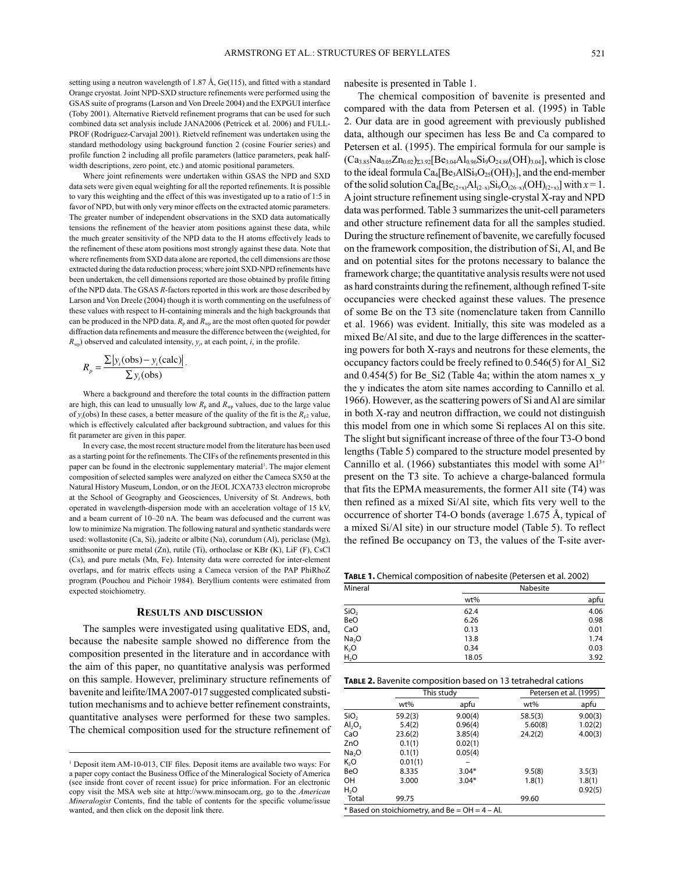setting using a neutron wavelength of 1.87 Å,  $Ge(115)$ , and fitted with a standard Orange cryostat. Joint NPD-SXD structure refinements were performed using the GSAS suite of programs (Larson and Von Dreele 2004) and the EXPGUI interface (Toby 2001). Alternative Rietveld refinement programs that can be used for such combined data set analysis include JANA2006 (Petricek et al. 2006) and FULL-PROF (Rodríguez-Carvajal 2001). Rietveld refinement was undertaken using the standard methodology using background function 2 (cosine Fourier series) and profile function 2 including all profile parameters (lattice parameters, peak halfwidth descriptions, zero point, etc.) and atomic positional parameters.

Where joint refinements were undertaken within GSAS the NPD and SXD data sets were given equal weighting for all the reported refinements. It is possible to vary this weighting and the effect of this was investigated up to a ratio of 1:5 in favor of NPD, but with only very minor effects on the extracted atomic parameters. The greater number of independent observations in the SXD data automatically tensions the refinement of the heavier atom positions against these data, while the much greater sensitivity of the NPD data to the H atoms effectively leads to the refinement of these atom positions most strongly against these data. Note that where refinements from SXD data alone are reported, the cell dimensions are those extracted during the data reduction process; where joint SXD-NPD refinements have been undertaken, the cell dimensions reported are those obtained by profile fitting of the NPD data. The GSAS *R*-factors reported in this work are those described by Larson and Von Dreele (2004) though it is worth commenting on the usefulness of these values with respect to H-containing minerals and the high backgrounds that can be produced in the NPD data.  $R_p$  and  $R_{wp}$  are the most often quoted for powder diffraction data refinements and measure the difference between the (weighted, for  $R_{\text{wp}}$ ) observed and calculated intensity,  $y_i$ , at each point, *i*, in the profile.

$$
R_p = \frac{\sum |y_i(\text{obs}) - y_i(\text{calc})|}{\sum y_i(\text{obs})}.
$$

Where a background and therefore the total counts in the diffraction pattern are high, this can lead to unusually low  $R_p$  and  $R_{wp}$  values, due to the large value of  $y_i$ (obs) In these cases, a better measure of the quality of the fit is the  $R_{F^2}$  value, which is effectively calculated after background subtraction, and values for this fit parameter are given in this paper.

In every case, the most recent structure model from the literature has been used as a starting point for the refinements. The CIFs of the refinements presented in this paper can be found in the electronic supplementary material<sup>1</sup>. The major element composition of selected samples were analyzed on either the Cameca SX50 at the Natural History Museum, London, or on the JEOL JCXA733 electron microprobe at the School of Geography and Geosciences, University of St. Andrews, both operated in wavelength-dispersion mode with an acceleration voltage of 15 kV, and a beam current of 10–20 nA. The beam was defocused and the current was low to minimize Na migration. The following natural and synthetic standards were used: wollastonite (Ca, Si), jadeite or albite (Na), corundum (Al), periclase (Mg), smithsonite or pure metal (Zn), rutile (Ti), orthoclase or KBr (K), LiF (F), CsCl (Cs), and pure metals (Mn, Fe). Intensity data were corrected for inter-element overlaps, and for matrix effects using a Cameca version of the PAP PhirhoZ program (Pouchou and Pichoir 1984). Beryllium contents were estimated from expected stoichiometry.

#### **results And discussion**

The samples were investigated using qualitative EDS, and, because the nabesite sample showed no difference from the composition presented in the literature and in accordance with the aim of this paper, no quantitative analysis was performed on this sample. However, preliminary structure refinements of bavenite and leifite/IMA 2007-017 suggested complicated substitution mechanisms and to achieve better refinement constraints, quantitative analyses were performed for these two samples. The chemical composition used for the structure refinement of nabesite is presented in Table 1.

The chemical composition of bavenite is presented and compared with the data from Petersen et al. (1995) in Table 2. Our data are in good agreement with previously published data, although our specimen has less Be and Ca compared to Petersen et al. (1995). The empirical formula for our sample is  $(Ca_{3.85}Na_{0.05}Zn_{0.02})_{\Sigma3.92}[Be_{3.04}Al_{0.96}Si_9O_{24.86}(OH)_{3.04}]$ , which is close to the ideal formula  $Ca_4[Be_3AlSi_9O_{25}(OH)_3]$ , and the end-member of the solid solution  $Ca_4[Be_{(2+x)}Al_{(2-x)}Si_9O_{(26-x)}(OH)_{(2+x)}]$  with  $x=1$ . A joint structure refinement using single-crystal X-ray and NPD data was performed. Table 3 summarizes the unit-cell parameters and other structure refinement data for all the samples studied. During the structure refinement of bavenite, we carefully focused on the framework composition, the distribution of Si, Al, and Be and on potential sites for the protons necessary to balance the framework charge; the quantitative analysis results were not used as hard constraints during the refinement, although refined T-site occupancies were checked against these values. The presence of some Be on the T3 site (nomenclature taken from Cannillo et al. 1966) was evident. Initially, this site was modeled as a mixed Be/Al site, and due to the large differences in the scattering powers for both X-rays and neutrons for these elements, the occupancy factors could be freely refined to 0.546(5) for Al\_Si2 and  $0.454(5)$  for Be\_Si2 (Table 4a; within the atom names x\_y the y indicates the atom site names according to Cannillo et al*.* 1966). However, as the scattering powers of Si and Al are similar in both X-ray and neutron diffraction, we could not distinguish this model from one in which some Si replaces Al on this site. The slight but significant increase of three of the four T3-O bond lengths (Table 5) compared to the structure model presented by Cannillo et al. (1966) substantiates this model with some  $Al^{3+}$ present on the T3 site. To achieve a charge-balanced formula that fits the EPMA measurements, the former Al1 site (T4) was then refined as a mixed Si/Al site, which fits very well to the occurrence of shorter T4-O bonds (average 1.675 Å, typical of a mixed Si/Al site) in our structure model (Table 5). To reflect the refined Be occupancy on T3, the values of the T-site aver-

**Table 1.** Chemical composition of nabesite (Petersen et al. 2002)

| Mineral           |       | Nabesite |
|-------------------|-------|----------|
|                   | wt%   | apfu     |
| SiO <sub>2</sub>  | 62.4  | 4.06     |
| BeO               | 6.26  | 0.98     |
| CaO               | 0.13  | 0.01     |
| Na <sub>2</sub> O | 13.8  | 1.74     |
| $K_2O$            | 0.34  | 0.03     |
| H <sub>2</sub> O  | 18.05 | 3.92     |

| TABLE 2. Bavenite composition based on 13 tetrahedral cations |  |  |  |
|---------------------------------------------------------------|--|--|--|
|---------------------------------------------------------------|--|--|--|

|                                                   |         | This study |         | Petersen et al. (1995) |  |  |  |  |
|---------------------------------------------------|---------|------------|---------|------------------------|--|--|--|--|
|                                                   | wt%     | apfu       | wt%     | apfu                   |  |  |  |  |
| SiO <sub>2</sub>                                  | 59.2(3) | 9.00(4)    | 58.5(3) | 9.00(3)                |  |  |  |  |
| AI <sub>2</sub> O <sub>3</sub>                    | 5.4(2)  | 0.96(4)    | 5.60(8) | 1.02(2)                |  |  |  |  |
| CaO                                               | 23.6(2) | 3.85(4)    | 24.2(2) | 4.00(3)                |  |  |  |  |
| ZnO                                               | 0.1(1)  | 0.02(1)    |         |                        |  |  |  |  |
| Na <sub>2</sub> O                                 | 0.1(1)  | 0.05(4)    |         |                        |  |  |  |  |
| K,O                                               | 0.01(1) |            |         |                        |  |  |  |  |
| BeO                                               | 8.335   | $3.04*$    | 9.5(8)  | 3.5(3)                 |  |  |  |  |
| OН                                                | 3.000   | $3.04*$    | 1.8(1)  | 1.8(1)                 |  |  |  |  |
| H <sub>2</sub> O                                  |         |            |         | 0.92(5)                |  |  |  |  |
| Total                                             | 99.75   |            | 99.60   |                        |  |  |  |  |
| $*$ Based on stoichiometry, and Be = OH = 4 - Al. |         |            |         |                        |  |  |  |  |

<sup>&</sup>lt;sup>1</sup> Deposit item AM-10-013, CIF files. Deposit items are available two ways: For a paper copy contact the Business Office of the Mineralogical Society of America (see inside front cover of recent issue) for price information. For an electronic copy visit the MSA web site at http://www.minsocam.org, go to the *American Mineralogist* Contents, find the table of contents for the specific volume/issue wanted, and then click on the deposit link there.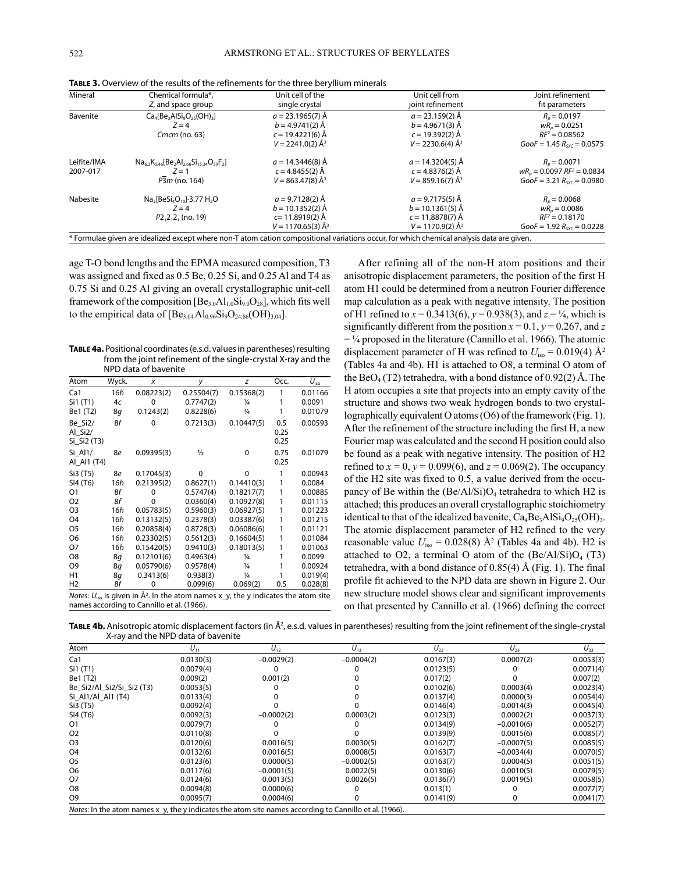| Mineral     | Chemical formula*,                                                                                                                        | Unit cell of the                | Unit cell from                 | Joint refinement              |  |  |  |  |  |  |
|-------------|-------------------------------------------------------------------------------------------------------------------------------------------|---------------------------------|--------------------------------|-------------------------------|--|--|--|--|--|--|
|             | Z, and space group                                                                                                                        | single crystal                  | joint refinement               | fit parameters                |  |  |  |  |  |  |
| Bavenite    | $Ca4[Be3AlSi9O25(OH)3]$                                                                                                                   | $a = 23.1965(7)$ Å              | $a = 23.159(2)$ Å              | $Rn = 0.0197$                 |  |  |  |  |  |  |
|             | $Z = 4$                                                                                                                                   | $b = 4.9741(2)$ Å               | $b = 4.9671(3)$ Å              | $wRn = 0.0251$                |  |  |  |  |  |  |
|             | $Cmcm$ (no. 63)                                                                                                                           | $c = 19.4221(6)$ Å              | $c = 19.392(2)$ Å              | $RF^2 = 0.08562$              |  |  |  |  |  |  |
|             |                                                                                                                                           | $V = 2241.0(2)$ Å <sup>3</sup>  | $V = 2230.6(4)$ Å <sup>3</sup> | $GooF = 1.45 Rsw = 0.0575$    |  |  |  |  |  |  |
| Leifite/IMA | $Na_{6.2}K_{0.46}[Be_2Al_{2.66}Si_{15.34}O_{39}F_2]$                                                                                      | $a = 14.3446(8)$ Å              | $a = 14.3204(5)$ Å             | $R_n = 0.0071$                |  |  |  |  |  |  |
| 2007-017    | $Z = 1$                                                                                                                                   | $c = 4.8455(2)$ Å               | $c = 4.8376(2)$ Å              | $wRn = 0.0097$ $RF2 = 0.0834$ |  |  |  |  |  |  |
|             | P3m (no. 164)                                                                                                                             | $V = 863.47(8)$ Å <sup>3</sup>  | $V = 859.16(7)$ Å <sup>3</sup> | GooF = 3.21 $R_{sw}$ = 0.0980 |  |  |  |  |  |  |
| Nabesite    | $Na2[BeSi4O10].3.77 H2O$                                                                                                                  | $a = 9.7128(2)$ Å               | $a = 9.7175(5)$ Å              | $Rn = 0.0068$                 |  |  |  |  |  |  |
|             | $Z = 4$                                                                                                                                   | $b = 10.1352(2)$ Å              | $b = 10.1361(5)$ Å             | $wR_n = 0.0086$               |  |  |  |  |  |  |
|             | $P2,2,2,$ (no. 19)                                                                                                                        | $c = 11.8919(2)$ Å              | $c = 11.8878(7)$ Å             | $RF^2 = 0.18170$              |  |  |  |  |  |  |
|             |                                                                                                                                           | $V = 1170.65(3)$ Å <sup>3</sup> | $V = 1170.9(2)$ Å <sup>3</sup> | $Goof = 1.92 Rsw = 0.0228$    |  |  |  |  |  |  |
|             | * Formulae given are idealized except where non-T atom cation compositional variations occur, for which chemical analysis data are given. |                                 |                                |                               |  |  |  |  |  |  |

**Table 3.** Overview of the results of the refinements for the three beryllium minerals

age T-O bond lengths and the EPMA measured composition, T3 was assigned and fixed as 0.5 Be, 0.25 Si, and 0.25 Al and T4 as 0.75 Si and 0.25 Al giving an overall crystallographic unit-cell framework of the composition  $[Be_{3.0}Al_{1.0}Si_{9.0}O_{28}]$ , which fits well to the empirical data of  $[Be_{3.04}Al_{0.96}Si_9O_{24.86}(OH)_{3.04}].$ 

**Table 4a.** Positional coordinates (e.s.d. values in parentheses) resulting from the joint refinement of the single-crystal X-ray and the NPD data of bavenite

| Atom                                           | Wyck. | x          | y                                                                                                         | z             | Occ.                | $U_{\text{iso}}$ |  |  |
|------------------------------------------------|-------|------------|-----------------------------------------------------------------------------------------------------------|---------------|---------------------|------------------|--|--|
| Ca <sub>1</sub>                                | 16h   | 0.08223(2) | 0.25504(7)                                                                                                | 0.15368(2)    | 1                   | 0.01166          |  |  |
| Si1 (T1)                                       | 4c    | 0          | 0.7747(2)                                                                                                 | $\frac{1}{4}$ | 1                   | 0.0091           |  |  |
| Be1 (T2)                                       | 8g    | 0.1243(2)  | 0.8228(6)                                                                                                 | $\frac{1}{4}$ | 1                   | 0.01079          |  |  |
| Be Si <sub>2</sub> /<br>Al_Si2/<br>Si Si2 (T3) | 8f    | 0          | 0.7213(3)                                                                                                 | 0.10447(5)    | 0.5<br>0.25<br>0.25 | 0.00593          |  |  |
| Si Al1/<br>AI AI1 (T4)                         | 8e    | 0.09395(3) | $\frac{1}{2}$                                                                                             | $\Omega$      | 0.75<br>0.25        | 0.01079          |  |  |
| Si3 (T5)                                       | 8e    | 0.17045(3) | 0                                                                                                         | 0             | 1                   | 0.00943          |  |  |
| Si4 (T6)                                       | 16h   | 0.21395(2) | 0.8627(1)                                                                                                 | 0.14410(3)    | 1                   | 0.0084           |  |  |
| O <sub>1</sub>                                 | 8f    | 0          | 0.5747(4)                                                                                                 | 0.18217(7)    | 1                   | 0.00885          |  |  |
| O <sub>2</sub>                                 | 8f    | 0          | 0.0360(4)                                                                                                 | 0.10927(8)    | 1                   | 0.01115          |  |  |
| O3                                             | 16h   | 0.05783(5) | 0.5960(3)                                                                                                 | 0.06927(5)    | 1                   | 0.01223          |  |  |
| O <sub>4</sub>                                 | 16h   | 0.13132(5) | 0.2378(3)                                                                                                 | 0.03387(6)    | 1                   | 0.01215          |  |  |
| O5                                             | 16h   | 0.20858(4) | 0.8728(3)                                                                                                 | 0.06086(6)    | 1                   | 0.01121          |  |  |
| O6                                             | 16h   | 0.23302(5) | 0.5612(3)                                                                                                 | 0.16604(5)    | 1                   | 0.01084          |  |  |
| O7                                             | 16h   | 0.15420(5) | 0.9410(3)                                                                                                 | 0.18013(5)    | 1                   | 0.01063          |  |  |
| O8                                             | 8q    | 0.12101(6) | 0.4963(4)                                                                                                 | $\frac{1}{4}$ | 1                   | 0.0099           |  |  |
| O9                                             | 8g    | 0.05790(6) | 0.9578(4)                                                                                                 | 1/4           | 1                   | 0.00924          |  |  |
| H1                                             | 8g    | 0.3413(6)  | 0.938(3)                                                                                                  | $\frac{1}{4}$ | 1                   | 0.019(4)         |  |  |
| H <sub>2</sub>                                 | 8f    | 0          | 0.099(6)                                                                                                  | 0.069(2)      | 0.5                 | 0.028(8)         |  |  |
|                                                |       |            | <i>Notes:</i> $U_{\text{iso}}$ is given in $\AA^2$ . In the atom names x_y, the y indicates the atom site |               |                     |                  |  |  |

*Notes: U<sub>iso</sub> is given in Å<sup>2</sup>. In the atom nan<br>names according to Cannillo et al. (1966).* 

After refining all of the non-H atom positions and their anisotropic displacement parameters, the position of the first H atom H1 could be determined from a neutron Fourier difference map calculation as a peak with negative intensity. The position of H1 refined to  $x = 0.3413(6)$ ,  $y = 0.938(3)$ , and  $z = \frac{1}{4}$ , which is significantly different from the position  $x = 0.1$ ,  $y = 0.267$ , and *z*  $=$  1/4 proposed in the literature (Cannillo et al. 1966). The atomic displacement parameter of H was refined to  $U_{\text{iso}} = 0.019(4)$  Å<sup>2</sup> (Tables 4a and 4b). H1 is attached to O8, a terminal O atom of the  $BeO_4(T2)$  tetrahedra, with a bond distance of 0.92(2) Å. The H atom occupies a site that projects into an empty cavity of the structure and shows two weak hydrogen bonds to two crystallographically equivalent O atoms (O6) of the framework (Fig. 1). After the refinement of the structure including the first H, a new Fourier map was calculated and the second H position could also be found as a peak with negative intensity. The position of H2 refined to  $x = 0$ ,  $y = 0.099(6)$ , and  $z = 0.069(2)$ . The occupancy of the H2 site was fixed to 0.5, a value derived from the occupancy of Be within the  $(Be/Al/Si)O<sub>4</sub>$  tetrahedra to which H2 is attached; this produces an overall crystallographic stoichiometry identical to that of the idealized bavenite,  $Ca_4Be_3AlSi_9O_{25}(OH)_{3.5}$ The atomic displacement parameter of H2 refined to the very reasonable value  $U_{\text{iso}} = 0.028(8)$  Å<sup>2</sup> (Tables 4a and 4b). H2 is attached to O2, a terminal O atom of the  $(Be/A1/Si)O<sub>4</sub>$  (T3) tetrahedra, with a bond distance of 0.85(4) Å (Fig. 1). The final profile fit achieved to the NPD data are shown in Figure 2. Our new structure model shows clear and significant improvements on that presented by Cannillo et al. (1966) defining the correct

**TABLE 4b.** Anisotropic atomic displacement factors (in Å<sup>2</sup>, e.s.d. values in parentheses) resulting from the joint refinement of the single-crystal X-ray and the NPD data of bavenite

| $U_{11}$  | $U_{12}$     | $U_{13}$     | $U_{22}$  | $U_{23}$     | $U_{33}$  |
|-----------|--------------|--------------|-----------|--------------|-----------|
| 0.0130(3) | $-0.0029(2)$ | $-0.0004(2)$ | 0.0167(3) | 0.0007(2)    | 0.0053(3) |
| 0.0079(4) |              |              | 0.0123(5) | 0            | 0.0071(4) |
| 0.009(2)  | 0.001(2)     |              | 0.017(2)  | 0            | 0.007(2)  |
| 0.0053(5) |              |              | 0.0102(6) | 0.0003(4)    | 0.0023(4) |
| 0.0133(4) |              |              | 0.0137(4) | 0.0000(3)    | 0.0054(4) |
| 0.0092(4) |              |              | 0.0146(4) | $-0.0014(3)$ | 0.0045(4) |
| 0.0092(3) | $-0.0002(2)$ | 0.0003(2)    | 0.0123(3) | 0.0002(2)    | 0.0037(3) |
| 0.0079(7) |              |              | 0.0134(9) | $-0.0010(6)$ | 0.0052(7) |
| 0.0110(8) |              |              | 0.0139(9) | 0.0015(6)    | 0.0085(7) |
| 0.0120(6) | 0.0016(5)    | 0.0030(5)    | 0.0162(7) | $-0.0007(5)$ | 0.0085(5) |
| 0.0132(6) | 0.0016(5)    | 0.0008(5)    | 0.0163(7) | $-0.0034(4)$ | 0.0070(5) |
| 0.0123(6) | 0.0000(5)    | $-0.0002(5)$ | 0.0163(7) | 0.0004(5)    | 0.0051(5) |
| 0.0117(6) | $-0.0001(5)$ | 0.0022(5)    | 0.0130(6) | 0.0010(5)    | 0.0079(5) |
| 0.0124(6) | 0.0013(5)    | 0.0026(5)    | 0.0136(7) | 0.0019(5)    | 0.0058(5) |
| 0.0094(8) | 0.0000(6)    | 0            | 0.013(1)  | $\Omega$     | 0.0077(7) |
| 0.0095(7) | 0.0004(6)    | $\Omega$     | 0.0141(9) | 0            | 0.0041(7) |
|           |              |              |           |              |           |

*Notes:* In the atom names x\_y, the y indicates the atom site names according to Cannillo et al. (1966).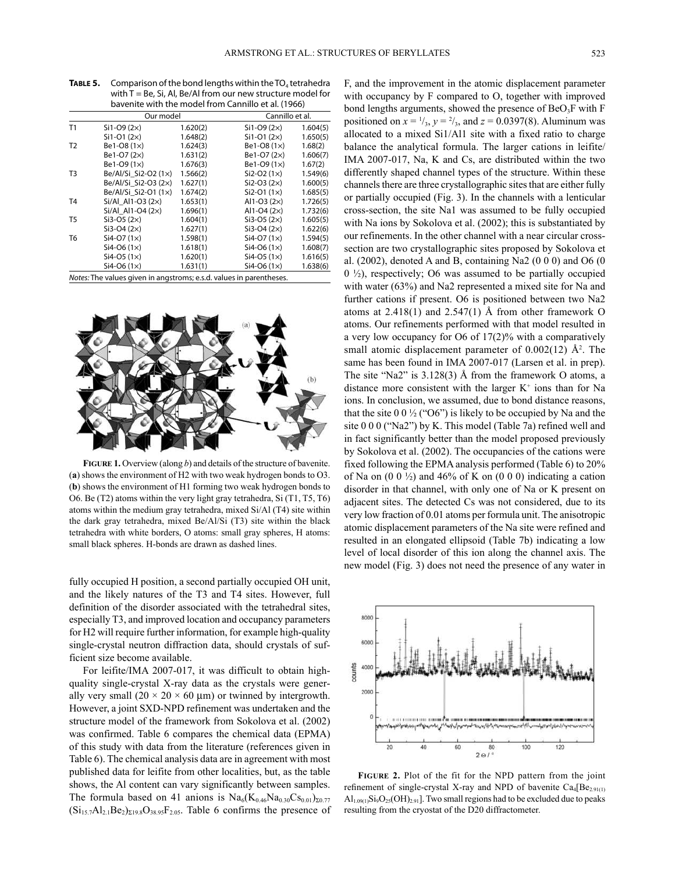| TABLE 5. | Comparison of the bond lengths within the $TO4$ tetrahedra<br>with $T = Be$ , Si, Al, Be/Al from our new structure model for<br>bavenite with the model from Cannillo et al. (1966) |                      |                               |                      |  |  |  |  |  |
|----------|-------------------------------------------------------------------------------------------------------------------------------------------------------------------------------------|----------------------|-------------------------------|----------------------|--|--|--|--|--|
|          |                                                                                                                                                                                     | Our model            | Cannillo et al.               |                      |  |  |  |  |  |
| T1       | $Si1-O9 (2x)$<br>$Si1-O1(2x)$                                                                                                                                                       | 1.620(2)<br>1.648(2) | $Si1-O9 (2×)$<br>$Si1-O1(2x)$ | 1.604(5)<br>1.650(5) |  |  |  |  |  |

|                | $Si1-O1(2x)$                                                        | 1.648(2) | $Si1-O1(2x)$       | 1.650(5) |
|----------------|---------------------------------------------------------------------|----------|--------------------|----------|
| T <sub>2</sub> | Be1-O8 $(1x)$                                                       | 1.624(3) | $Be1-O8(1\times)$  | 1.68(2)  |
|                | Be1-O7 (2x)                                                         | 1.631(2) | Be1-O7 (2×)        | 1.606(7) |
|                | Be1-O9 (1x)                                                         | 1.676(3) | Be1-O9 (1x)        | 1.67(2)  |
| T <sub>3</sub> | Be/Al/Si Si2-O2 (1x)                                                | 1.566(2) | $Si2-O2 (1x)$      | 1.549(6) |
|                | Be/Al/Si Si2-O3 $(2\times)$                                         | 1.627(1) | $Si2-O3 (2×)$      | 1.600(5) |
|                | Be/Al/Si_Si2-O1 (1x)                                                | 1.674(2) | $Si2-O1 (1x)$      | 1.685(5) |
| T <sub>4</sub> | $Si/Al$ Al1-O3 (2 $\times$ )                                        | 1.653(1) | Al1-O3 $(2x)$      | 1.726(5) |
|                | $Si/Al$ Al1-O4 (2 $\times$ )                                        | 1.696(1) | Al1-O4 $(2x)$      | 1.732(6) |
| T <sub>5</sub> | $Si3-O5 (2\times)$                                                  | 1.604(1) | $Si3-O5 (2\times)$ | 1.605(5) |
|                | $Si3-O4 (2×)$                                                       | 1.627(1) | $Si3-O4 (2\times)$ | 1.622(6) |
| T <sub>6</sub> | $Si4-O7 (1×)$                                                       | 1.598(1) | $Si4-O7 (1x)$      | 1.594(5) |
|                | Si4-O6 $(1\times)$                                                  | 1.618(1) | $Si4-O6 (1x)$      | 1.608(7) |
|                | $Si4-O5(1\times)$                                                   | 1.620(1) | $Si4-O5(1\times)$  | 1.616(5) |
|                | $Si4-O6 (1x)$                                                       | 1.631(1) | $Si4-O6 (1x)$      | 1.638(6) |
|                | Notes: The values given in angstroms; e.s.d. values in parentheses. |          |                    |          |



**figure 1.** Overview (along *b*) and details of the structure of bavenite. (**a**) shows the environment of H2 with two weak hydrogen bonds to O3. (**b**) shows the environment of H1 forming two weak hydrogen bonds to O6. Be (T2) atoms within the very light gray tetrahedra, Si (T1, T5, T6) atoms within the medium gray tetrahedra, mixed Si/Al (T4) site within the dark gray tetrahedra, mixed Be/Al/Si (T3) site within the black tetrahedra with white borders, O atoms: small gray spheres, H atoms: small black spheres. H-bonds are drawn as dashed lines.

fully occupied H position, a second partially occupied OH unit, and the likely natures of the T3 and T4 sites. However, full definition of the disorder associated with the tetrahedral sites, especially T3, and improved location and occupancy parameters for H2 will require further information, for example high-quality single-crystal neutron diffraction data, should crystals of sufficient size become available.

For leifite/IMA 2007-017, it was difficult to obtain highquality single-crystal X-ray data as the crystals were generally very small  $(20 \times 20 \times 60 \mu m)$  or twinned by intergrowth. However, a joint SXD-NPD refinement was undertaken and the structure model of the framework from Sokolova et al. (2002) was confirmed. Table 6 compares the chemical data (EPMA) of this study with data from the literature (references given in Table 6). The chemical analysis data are in agreement with most published data for leifite from other localities, but, as the table shows, the Al content can vary significantly between samples. The formula based on 41 anions is  $\text{Na}_6(\text{K}_{0.46}\text{Na}_{0.30}\text{Cs}_{0.01})_{\Sigma 0.77}$  $(Si_{15.7}Al_{2.1}Be_{2})_{\Sigma19.8}O_{38.95}F_{2.05}$ . Table 6 confirms the presence of F, and the improvement in the atomic displacement parameter with occupancy by F compared to O, together with improved bond lengths arguments, showed the presence of BeO<sub>3</sub>F with F positioned on  $x = \frac{1}{3}$ ,  $y = \frac{2}{3}$ , and  $z = 0.0397(8)$ . Aluminum was allocated to a mixed Si1/Al1 site with a fixed ratio to charge balance the analytical formula. The larger cations in leifite/ IMA 2007-017, Na, K and Cs, are distributed within the two differently shaped channel types of the structure. Within these channels there are three crystallographic sites that are either fully or partially occupied (Fig. 3). In the channels with a lenticular cross-section, the site Na1 was assumed to be fully occupied with Na ions by Sokolova et al. (2002); this is substantiated by our refinements. In the other channel with a near circular crosssection are two crystallographic sites proposed by Sokolova et al. (2002), denoted A and B, containing Na2 (0 0 0) and O6 (0  $0 \frac{1}{2}$ , respectively; O6 was assumed to be partially occupied with water (63%) and Na2 represented a mixed site for Na and further cations if present. O6 is positioned between two Na2 atoms at  $2.418(1)$  and  $2.547(1)$  Å from other framework O atoms. Our refinements performed with that model resulted in a very low occupancy for O6 of 17(2)% with a comparatively small atomic displacement parameter of  $0.002(12)$  Å<sup>2</sup>. The same has been found in IMA 2007-017 (Larsen et al. in prep). The site "Na2" is 3.128(3) Å from the framework O atoms, a distance more consistent with the larger  $K^+$  ions than for Na ions. In conclusion, we assumed, due to bond distance reasons, that the site  $0.0\frac{1}{2}$  ("O6") is likely to be occupied by Na and the site 0 0 0 ("Na2") by K. This model (Table 7a) refined well and in fact significantly better than the model proposed previously by Sokolova et al. (2002). The occupancies of the cations were fixed following the EPMA analysis performed (Table 6) to 20% of Na on  $(0\ 0\ \frac{1}{2})$  and 46% of K on  $(0\ 0\ 0)$  indicating a cation disorder in that channel, with only one of Na or K present on adjacent sites. The detected Cs was not considered, due to its very low fraction of 0.01 atoms per formula unit. The anisotropic atomic displacement parameters of the Na site were refined and resulted in an elongated ellipsoid (Table 7b) indicating a low level of local disorder of this ion along the channel axis. The new model (Fig. 3) does not need the presence of any water in



**figure 2.** Plot of the fit for the NPD pattern from the joint refinement of single-crystal X-ray and NPD of bavenite  $Ca_4[Be_{2.91(1)}]$  $\text{Al}_{1.09(1)}\text{Si}_9\text{O}_{25}(\text{OH})_{2.91}$ . Two small regions had to be excluded due to peaks resulting from the cryostat of the D20 diffractometer.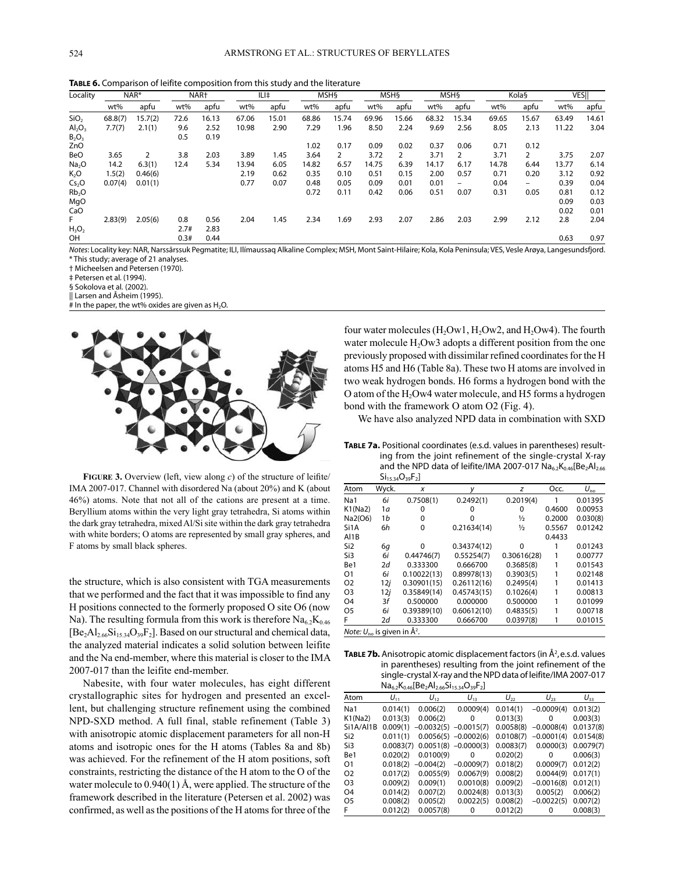| <b>TABLE 6.</b> Comparison of leifite composition from this study and the literature |  |  |
|--------------------------------------------------------------------------------------|--|--|
|--------------------------------------------------------------------------------------|--|--|

| Locality          |         | NAR*    |      | NAR <sup>+</sup> |       | ILI‡  |       | <b>MSHS</b>    |       | <b>MSHS</b>    |       | <b>MSHS</b>              |       | Kola§          |       | <b>VESII</b> |
|-------------------|---------|---------|------|------------------|-------|-------|-------|----------------|-------|----------------|-------|--------------------------|-------|----------------|-------|--------------|
|                   | wt%     | apfu    | wt%  | apfu             | wt%   | apfu  | wt%   | apfu           | wt%   | apfu           | wt%   | apfu                     | wt%   | apfu           | wt%   | apfu         |
| SiO <sub>2</sub>  | 68.8(7) | 15.7(2) | 72.6 | 16.13            | 67.06 | 15.01 | 68.86 | 15.74          | 69.96 | 15.66          | 68.32 | 15.34                    | 69.65 | 15.67          | 63.49 | 14.61        |
| $Al_2O_3$         | 7.7(7)  | 2.1(1)  | 9.6  | 2.52             | 10.98 | 2.90  | 7.29  | 1.96           | 8.50  | 2.24           | 9.69  | 2.56                     | 8.05  | 2.13           | 11.22 | 3.04         |
| $B_2O_3$          |         |         | 0.5  | 0.19             |       |       |       |                |       |                |       |                          |       |                |       |              |
| ZnO               |         |         |      |                  |       |       | 1.02  | 0.17           | 0.09  | 0.02           | 0.37  | 0.06                     | 0.71  | 0.12           |       |              |
| BeO               | 3.65    | 2       | 3.8  | 2.03             | 3.89  | 1.45  | 3.64  | $\overline{2}$ | 3.72  | $\overline{2}$ | 3.71  | 2                        | 3.71  | $\overline{2}$ | 3.75  | 2.07         |
| Na <sub>2</sub> O | 14.2    | 6.3(1)  | 12.4 | 5.34             | 13.94 | 6.05  | 14.82 | 6.57           | 14.75 | 6.39           | 14.17 | 6.17                     | 14.78 | 6.44           | 13.77 | 6.14         |
| $K_2O$            | .5(2)   | 0.46(6) |      |                  | 2.19  | 0.62  | 0.35  | 0.10           | 0.51  | 0.15           | 2.00  | 0.57                     | 0.71  | 0.20           | 3.12  | 0.92         |
| Cs <sub>2</sub> O | 0.07(4) | 0.01(1) |      |                  | 0.77  | 0.07  | 0.48  | 0.05           | 0.09  | 0.01           | 0.01  | $\overline{\phantom{a}}$ | 0.04  | -              | 0.39  | 0.04         |
| Rb <sub>2</sub> O |         |         |      |                  |       |       | 0.72  | 0.11           | 0.42  | 0.06           | 0.51  | 0.07                     | 0.31  | 0.05           | 0.81  | 0.12         |
| MgO               |         |         |      |                  |       |       |       |                |       |                |       |                          |       |                | 0.09  | 0.03         |
| CaO               |         |         |      |                  |       |       |       |                |       |                |       |                          |       |                | 0.02  | 0.01         |
| F.                | 2.83(9) | 2.05(6) | 0.8  | 0.56             | 2.04  | 1.45  | 2.34  | 1.69           | 2.93  | 2.07           | 2.86  | 2.03                     | 2.99  | 2.12           | 2.8   | 2.04         |
| $H_3O_2$          |         |         | 2.7# | 2.83             |       |       |       |                |       |                |       |                          |       |                |       |              |
| OH                |         |         | 0.3# | 0.44             |       |       |       |                |       |                |       |                          |       |                | 0.63  | 0.97         |

*Notes*: Locality key: NAR, Narssârssuk Pegmatite; ILI, Ilímaussaq Alkaline Complex; MSH, Mont Saint-Hilaire; Kola, Kola Peninsula; VES, Vesle Arøya, Langesundsfjord. \* This study; average of 21 analyses.

† Micheelsen and Petersen (1970).

‡ Petersen et al. (1994).

§ Sokolova et al*.* (2002).

|| Larsen and Åsheim (1995).

 $#$  In the paper, the wt% oxides are given as H<sub>2</sub>O.



**figure** 3. Overview (left, view along *c*) of the structure of leifite/ IMA 2007-017. Channel with disordered Na (about 20%) and K (about 46%) atoms. Note that not all of the cations are present at a time. Beryllium atoms within the very light gray tetrahedra, Si atoms within the dark gray tetrahedra, mixed Al/Si site within the dark gray tetrahedra with white borders; O atoms are represented by small gray spheres, and F atoms by small black spheres.

the structure, which is also consistent with TGA measurements that we performed and the fact that it was impossible to find any H positions connected to the formerly proposed O site O6 (now Na). The resulting formula from this work is therefore  $Na<sub>6.2</sub>K<sub>0.46</sub>$  $[Be<sub>2</sub>Al<sub>2.66</sub>Si<sub>15.34</sub>O<sub>39</sub>F<sub>2</sub>]$ . Based on our structural and chemical data, the analyzed material indicates a solid solution between leifite and the Na end-member, where this material is closer to the IMA 2007-017 than the leifite end-member.

Nabesite, with four water molecules, has eight different crystallographic sites for hydrogen and presented an excellent, but challenging structure refinement using the combined NPD-SXD method. A full final, stable refinement (Table 3) with anisotropic atomic displacement parameters for all non-H atoms and isotropic ones for the H atoms (Tables 8a and 8b) was achieved. For the refinement of the H atom positions, soft constraints, restricting the distance of the H atom to the O of the water molecule to 0.940(1) Å, were applied. The structure of the framework described in the literature (Petersen et al. 2002) was confirmed, as well as the positions of the H atoms for three of the four water molecules  $(H<sub>2</sub>OW1, H<sub>2</sub>OW2, and H<sub>2</sub>OW4)$ . The fourth water molecule H<sub>2</sub>Ow<sub>3</sub> adopts a different position from the one previously proposed with dissimilar refined coordinates for the H atoms H5 and H6 (Table 8a). These two H atoms are involved in two weak hydrogen bonds. H6 forms a hydrogen bond with the O atom of the H2Ow4 water molecule, and H5 forms a hydrogen bond with the framework O atom O2 (Fig. 4).

We have also analyzed NPD data in combination with SXD

**Table 7a.** Positional coordinates (e.s.d. values in parentheses) resulting from the joint refinement of the single-crystal X-ray and the NPD data of leifite/IMA 2007-017  $Na_{6.2}K_{0.46}[Be_2Al_{2.66}S_1$  $\cap$  F<sub>1</sub>

|                                                           |             | ار 1 <sub>15.34</sub> ∪39 ار |             |               |        |               |
|-----------------------------------------------------------|-------------|------------------------------|-------------|---------------|--------|---------------|
| Atom                                                      | Wyck.       | x                            | v           | z             | Occ.   | $U_{\rm iso}$ |
| Na1                                                       | 6i          | 0.7508(1)                    | 0.2492(1)   | 0.2019(4)     |        | 0.01395       |
| K1(Na2)                                                   | 1a          | 0                            | o           | 0             | 0.4600 | 0.00953       |
| Na2(O6)                                                   | 1b          | 0                            | O           | ⅓             | 0.2000 | 0.030(8)      |
| Si1A                                                      | 6h          | 0                            | 0.21634(14) | $\frac{1}{2}$ | 0.5567 | 0.01242       |
| AI1B                                                      |             |                              |             |               | 0.4433 |               |
| Si <sub>2</sub>                                           | 6g          | 0                            | 0.34374(12) | 0             |        | 0.01243       |
| Si3                                                       | 6i          | 0.44746(7)                   | 0.55254(7)  | 0.30616(28)   |        | 0.00777       |
| Be1                                                       | 2d          | 0.333300                     | 0.666700    | 0.3685(8)     |        | 0.01543       |
| O <sub>1</sub>                                            | 6i          | 0.10022(13)                  | 0.89978(13) | 0.3903(5)     |        | 0.02148       |
| O <sub>2</sub>                                            | 12 <i>i</i> | 0.30901(15)                  | 0.26112(16) | 0.2495(4)     |        | 0.01413       |
| O <sub>3</sub>                                            | 12j         | 0.35849(14)                  | 0.45743(15) | 0.1026(4)     |        | 0.00813       |
| O <sub>4</sub>                                            | Зf          | 0.500000                     | 0.000000    | 0.500000      |        | 0.01099       |
| O <sub>5</sub>                                            | 6i          | 0.39389(10)                  | 0.60612(10) | 0.4835(5)     |        | 0.00718       |
| F                                                         | 2d          | 0.333300                     | 0.666700    | 0.0397(8)     |        | 0.01015       |
| <i>Note:</i> $U_{\text{iso}}$ is given in $\check{A}^2$ . |             |                              |             |               |        |               |

**TABLE 7b.** Anisotropic atomic displacement factors (in  $A^2$ , e.s.d. values in parentheses) resulting from the joint refinement of the single-crystal X-ray and the NPD data of leifite/IMA 2007-017  $\overline{P_{\alpha}}$   $\overline{A}$ 

|                 |           | Nd <sub>6.2</sub> N <sub>0.46</sub> [Be <sub>2</sub> Al <sub>2.66</sub> Sl <sub>15.34</sub> U <sub>39</sub> F <sub>2</sub> ] |                        |           |              |           |
|-----------------|-----------|------------------------------------------------------------------------------------------------------------------------------|------------------------|-----------|--------------|-----------|
| Atom            | $U_{11}$  | $U_{12}$                                                                                                                     | $U_{13}$               | $U_{22}$  | $U_{23}$     | $U_{33}$  |
| Na1             | 0.014(1)  | 0.006(2)                                                                                                                     | 0.0009(4)              | 0.014(1)  | $-0.0009(4)$ | 0.013(2)  |
| K1(Na2)         | 0.013(3)  | 0.006(2)                                                                                                                     | 0                      | 0.013(3)  | 0            | 0.003(3)  |
| Si1A/Al1B       | 0.009(1)  | $-0.0032(5)$                                                                                                                 | $-0.0015(7)$           | 0.0058(8) | $-0.0008(4)$ | 0.0137(8) |
| Si <sub>2</sub> | 0.011(1)  |                                                                                                                              | $0.0056(5) -0.0002(6)$ | 0.0108(7) | $-0.0001(4)$ | 0.0154(8) |
| Si3             | 0.0083(7) |                                                                                                                              | $0.0051(8) -0.0000(3)$ | 0.0083(7) | 0.0000(3)    | 0.0079(7) |
| Be1             | 0.020(2)  | 0.0100(9)                                                                                                                    | 0                      | 0.020(2)  | 0            | 0.006(3)  |
| O1              | 0.018(2)  | $-0.004(2)$                                                                                                                  | $-0.0009(7)$           | 0.018(2)  | 0.0009(7)    | 0.012(2)  |
| O <sub>2</sub>  | 0.017(2)  | 0.0055(9)                                                                                                                    | 0.0067(9)              | 0.008(2)  | 0.0044(9)    | 0.017(1)  |
| O <sub>3</sub>  | 0.009(2)  | 0.009(1)                                                                                                                     | 0.0010(8)              | 0.009(2)  | $-0.0016(8)$ | 0.012(1)  |
| O <sub>4</sub>  | 0.014(2)  | 0.007(2)                                                                                                                     | 0.0024(8)              | 0.013(3)  | 0.005(2)     | 0.006(2)  |
| O <sub>5</sub>  | 0.008(2)  | 0.005(2)                                                                                                                     | 0.0022(5)              | 0.008(2)  | $-0.0022(5)$ | 0.007(2)  |
| F.              | 0.012(2)  | 0.0057(8)                                                                                                                    | $\Omega$               | 0.012(2)  | 0            | 0.008(3)  |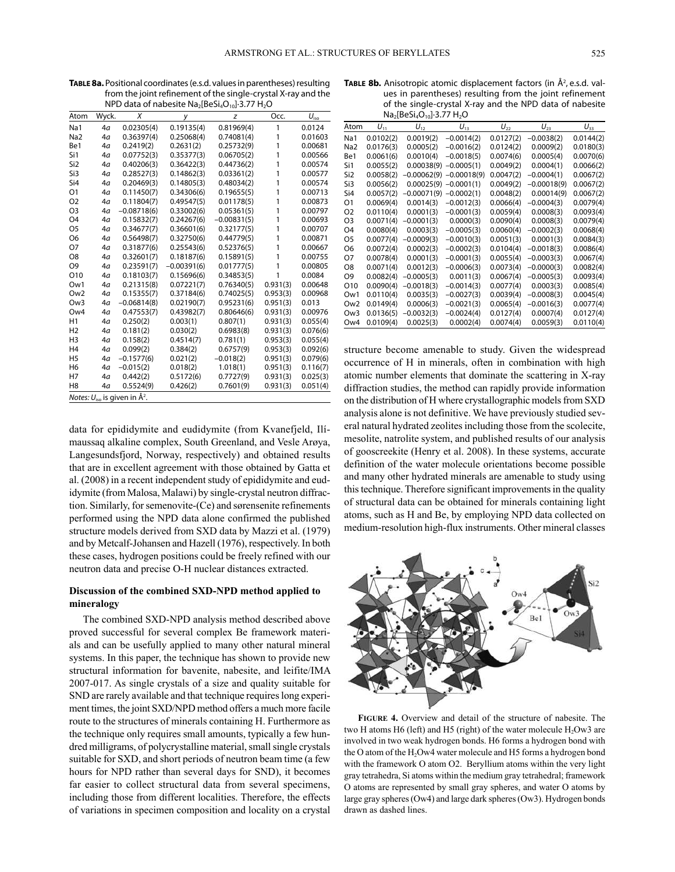| <b>TABLE 8a.</b> Positional coordinates (e.s.d. values in parentheses) resulting |
|----------------------------------------------------------------------------------|
| from the joint refinement of the single-crystal X-ray and the                    |
| NPD data of nabesite $Na2[BeSi4O10]\cdot3.77 H2O$                                |

| $190 \text{ G}$ and $01 \text{ rad}$ respective that $100 \text{ G}$ and $100 \text{ G}$ |       |               |               |               |          |                              |  |  |  |
|------------------------------------------------------------------------------------------|-------|---------------|---------------|---------------|----------|------------------------------|--|--|--|
| Atom                                                                                     | Wyck. | X             | у             | z             | Occ.     | $U_{\underline{\text{iso}}}$ |  |  |  |
| Na1                                                                                      | 4a    | 0.02305(4)    | 0.19135(4)    | 0.81969(4)    | 1        | 0.0124                       |  |  |  |
| Na <sub>2</sub>                                                                          | 4a    | 0.36397(4)    | 0.25068(4)    | 0.74081(4)    | 1        | 0.01603                      |  |  |  |
| Be1                                                                                      | 4a    | 0.2419(2)     | 0.2631(2)     | 0.25732(9)    | 1        | 0.00681                      |  |  |  |
| Si1                                                                                      | 4a    | 0.07752(3)    | 0.35377(3)    | 0.06705(2)    | 1        | 0.00566                      |  |  |  |
| Si <sub>2</sub>                                                                          | 4a    | 0.40206(3)    | 0.36422(3)    | 0.44736(2)    | 1        | 0.00574                      |  |  |  |
| Si3                                                                                      | 4a    | 0.28527(3)    | 0.14862(3)    | 0.03361(2)    | 1        | 0.00577                      |  |  |  |
| Si4                                                                                      | 4a    | 0.20469(3)    | 0.14805(3)    | 0.48034(2)    | 1        | 0.00574                      |  |  |  |
| O <sub>1</sub>                                                                           | 4a    | 0.11450(7)    | 0.34306(6)    | 0.19655(5)    | 1        | 0.00713                      |  |  |  |
| O <sub>2</sub>                                                                           | 4a    | 0.11804(7)    | 0.49547(5)    | 0.01178(5)    | 1        | 0.00873                      |  |  |  |
| O <sub>3</sub>                                                                           | 4a    | $-0.08718(6)$ | 0.33002(6)    | 0.05361(5)    | 1        | 0.00797                      |  |  |  |
| O <sub>4</sub>                                                                           | 4a    | 0.15832(7)    | 0.24267(6)    | $-0.00831(5)$ | 1        | 0.00693                      |  |  |  |
| O <sub>5</sub>                                                                           | 4a    | 0.34677(7)    | 0.36601(6)    | 0.32177(5)    | 1        | 0.00707                      |  |  |  |
| O <sub>6</sub>                                                                           | 4a    | 0.56498(7)    | 0.32750(6)    | 0.44779(5)    | 1        | 0.00871                      |  |  |  |
| O7                                                                                       | 4a    | 0.31877(6)    | 0.25543(6)    | 0.52376(5)    | 1        | 0.00667                      |  |  |  |
| O <sub>8</sub>                                                                           | 4a    | 0.32601(7)    | 0.18187(6)    | 0.15891(5)    | 1        | 0.00755                      |  |  |  |
| O <sub>9</sub>                                                                           | 4a    | 0.23591(7)    | $-0.00391(6)$ | 0.01777(5)    | 1        | 0.00805                      |  |  |  |
| O10                                                                                      | 4a    | 0.18103(7)    | 0.15696(6)    | 0.34853(5)    | 1        | 0.0084                       |  |  |  |
| Ow1                                                                                      | 4a    | 0.21315(8)    | 0.07221(7)    | 0.76340(5)    | 0.931(3) | 0.00648                      |  |  |  |
| Ow <sub>2</sub>                                                                          | 4a    | 0.15355(7)    | 0.37184(6)    | 0.74025(5)    | 0.953(3) | 0.00968                      |  |  |  |
| Ow <sub>3</sub>                                                                          | 4a    | $-0.06814(8)$ | 0.02190(7)    | 0.95231(6)    | 0.951(3) | 0.013                        |  |  |  |
| Ow4                                                                                      | 4a    | 0.47553(7)    | 0.43982(7)    | 0.80646(6)    | 0.931(3) | 0.00976                      |  |  |  |
| H1                                                                                       | 4a    | 0.250(2)      | 0.003(1)      | 0.807(1)      | 0.931(3) | 0.055(4)                     |  |  |  |
| H <sub>2</sub>                                                                           | 4a    | 0.181(2)      | 0.030(2)      | 0.6983(8)     | 0.931(3) | 0.076(6)                     |  |  |  |
| H <sub>3</sub>                                                                           | 4a    | 0.158(2)      | 0.4514(7)     | 0.781(1)      | 0.953(3) | 0.055(4)                     |  |  |  |
| H <sub>4</sub>                                                                           | 4a    | 0.099(2)      | 0.384(2)      | 0.6757(9)     | 0.953(3) | 0.092(6)                     |  |  |  |
| H <sub>5</sub>                                                                           | 4a    | $-0.1577(6)$  | 0.021(2)      | $-0.018(2)$   | 0.951(3) | 0.079(6)                     |  |  |  |
| H <sub>6</sub>                                                                           | 4a    | $-0.015(2)$   | 0.018(2)      | 1.018(1)      | 0.951(3) | 0.116(7)                     |  |  |  |
| H7                                                                                       | 4a    | 0.442(2)      | 0.5172(6)     | 0.7727(9)     | 0.931(3) | 0.025(3)                     |  |  |  |
| H <sub>8</sub>                                                                           | 4a    | 0.5524(9)     | 0.426(2)      | 0.7601(9)     | 0.931(3) | 0.051(4)                     |  |  |  |
| <i>Notes:</i> $U_{\text{iso}}$ is given in $\AA^2$ .                                     |       |               |               |               |          |                              |  |  |  |

data for epididymite and eudidymite (from Kvanefjeld, Ilímaussaq alkaline complex, South Greenland, and Vesle Arøya, Langesundsfjord, Norway, respectively) and obtained results that are in excellent agreement with those obtained by Gatta et al. (2008) in a recent independent study of epididymite and eudidymite (from Malosa, Malawi) by single-crystal neutron diffraction. Similarly, for semenovite-(Ce) and sørensenite refinements performed using the NPD data alone confirmed the published structure models derived from SXD data by Mazzi et al. (1979) and by Metcalf-Johansen and Hazell (1976), respectively. In both these cases, hydrogen positions could be freely refined with our neutron data and precise O-H nuclear distances extracted.

## **Discussion of the combined SXD-NPD method applied to mineralogy**

The combined SXD-NPD analysis method described above proved successful for several complex Be framework materials and can be usefully applied to many other natural mineral systems. In this paper, the technique has shown to provide new structural information for bavenite, nabesite, and leifite/IMA 2007-017. As single crystals of a size and quality suitable for SND are rarely available and that technique requires long experiment times, the joint SXD/NPD method offers a much more facile route to the structures of minerals containing H. Furthermore as the technique only requires small amounts, typically a few hundred milligrams, of polycrystalline material, small single crystals suitable for SXD, and short periods of neutron beam time (a few hours for NPD rather than several days for SND), it becomes far easier to collect structural data from several specimens, including those from different localities. Therefore, the effects of variations in specimen composition and locality on a crystal

| <b>TABLE 8b.</b> Anisotropic atomic displacement factors (in $\mathsf{A}^2$ , e.s.d. val- |
|-------------------------------------------------------------------------------------------|
| ues in parentheses) resulting from the joint refinement                                   |
| of the single-crystal X-ray and the NPD data of nabesite                                  |
| $Na2 [BeSi4O10]-3.77 H2O$                                                                 |

| Atom            | $U_{11}$  | $U_{12}$      | $U_{13}$      | $U_{22}$  | $U_{23}$      | $U_{33}$  |
|-----------------|-----------|---------------|---------------|-----------|---------------|-----------|
| Na1             | 0.0102(2) | 0.0019(2)     | $-0.0014(2)$  | 0.0127(2) | $-0.0038(2)$  | 0.0144(2) |
| Na <sub>2</sub> | 0.0176(3) | 0.0005(2)     | $-0.0016(2)$  | 0.0124(2) | 0.0009(2)     | 0.0180(3) |
| Be1             | 0.0061(6) | 0.0010(4)     | $-0.0018(5)$  | 0.0074(6) | 0.0005(4)     | 0.0070(6) |
| Si1             | 0.0055(2) | 0.00038(9)    | $-0.0005(1)$  | 0.0049(2) | 0.0004(1)     | 0.0066(2) |
| Si <sub>2</sub> | 0.0058(2) | $-0.00062(9)$ | $-0.00018(9)$ | 0.0047(2) | $-0.0004(1)$  | 0.0067(2) |
| Si3             | 0.0056(2) | 0.00025(9)    | $-0.0001(1)$  | 0.0049(2) | $-0.00018(9)$ | 0.0067(2) |
| Si4             | 0.0057(2) | $-0.00071(9)$ | $-0.0002(1)$  | 0.0048(2) | 0.00014(9)    | 0.0067(2) |
| O1              | 0.0069(4) | 0.0014(3)     | $-0.0012(3)$  | 0.0066(4) | $-0.0004(3)$  | 0.0079(4) |
| O <sub>2</sub>  | 0.0110(4) | 0.0001(3)     | $-0.0001(3)$  | 0.0059(4) | 0.0008(3)     | 0.0093(4) |
| O <sub>3</sub>  | 0.0071(4) | $-0.0001(3)$  | 0.0000(3)     | 0.0090(4) | 0.0008(3)     | 0.0079(4) |
| O4              | 0.0080(4) | 0.0003(3)     | $-0.0005(3)$  | 0.0060(4) | $-0.0002(3)$  | 0.0068(4) |
| O5              | 0.0077(4) | $-0.0009(3)$  | $-0.0010(3)$  | 0.0051(3) | 0.0001(3)     | 0.0084(3) |
| 06              | 0.0072(4) | 0.0002(3)     | $-0.0002(3)$  | 0.0104(4) | $-0.0018(3)$  | 0.0086(4) |
| Ο7              | 0.0078(4) | 0.0001(3)     | $-0.0001(3)$  | 0.0055(4) | $-0.0003(3)$  | 0.0067(4) |
| O8              | 0.0071(4) | 0.0012(3)     | $-0.0006(3)$  | 0.0073(4) | $-0.0000(3)$  | 0.0082(4) |
| O9              | 0.0082(4) | $-0.0005(3)$  | 0.0011(3)     | 0.0067(4) | $-0.0005(3)$  | 0.0093(4) |
| O10             | 0.0090(4) | $-0.0018(3)$  | $-0.0014(3)$  | 0.0077(4) | 0.0003(3)     | 0.0085(4) |
| Ow1             | 0.0110(4) | 0.0035(3)     | $-0.0027(3)$  | 0.0039(4) | $-0.0008(3)$  | 0.0045(4) |
| Ow <sub>2</sub> | 0.0149(4) | 0.0006(3)     | $-0.0021(3)$  | 0.0065(4) | $-0.0016(3)$  | 0.0077(4) |
| Ow3             | 0.0136(5) | $-0.0032(3)$  | $-0.0024(4)$  | 0.0127(4) | 0.0007(4)     | 0.0127(4) |
| Ow <sub>4</sub> | 0.0109(4) | 0.0025(3)     | 0.0002(4)     | 0.0074(4) | 0.0059(3)     | 0.0110(4) |

structure become amenable to study. Given the widespread occurrence of H in minerals, often in combination with high atomic number elements that dominate the scattering in X-ray diffraction studies, the method can rapidly provide information on the distribution of H where crystallographic models from SXD analysis alone is not definitive. We have previously studied several natural hydrated zeolites including those from the scolecite, mesolite, natrolite system, and published results of our analysis of gooscreekite (Henry et al. 2008). In these systems, accurate definition of the water molecule orientations become possible and many other hydrated minerals are amenable to study using this technique. Therefore significant improvements in the quality of structural data can be obtained for minerals containing light atoms, such as H and Be, by employing NPD data collected on medium-resolution high-flux instruments. Other mineral classes



**figure 4.** Overview and detail of the structure of nabesite. The two H atoms H6 (left) and H5 (right) of the water molecule  $H<sub>2</sub>OW3$  are involved in two weak hydrogen bonds. H6 forms a hydrogen bond with the O atom of the  $H<sub>2</sub>OW4$  water molecule and H5 forms a hydrogen bond with the framework O atom O2. Beryllium atoms within the very light gray tetrahedra, Si atoms within the medium gray tetrahedral; framework O atoms are represented by small gray spheres, and water O atoms by large gray spheres (Ow4) and large dark spheres (Ow3). Hydrogen bonds drawn as dashed lines.